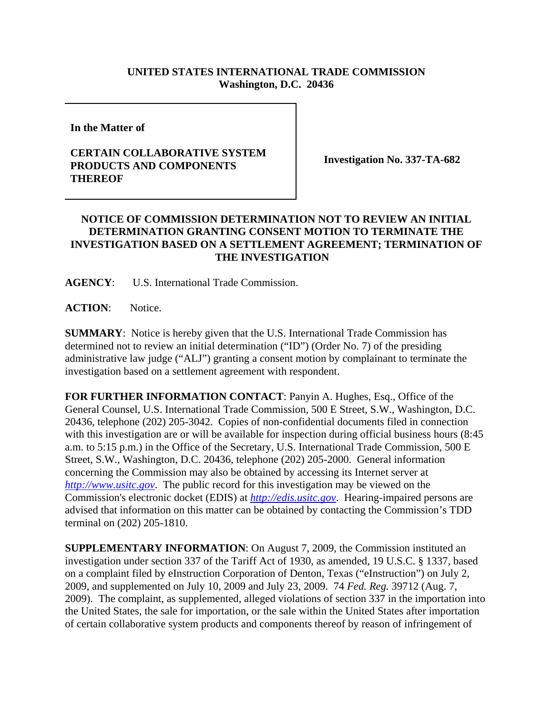## **UNITED STATES INTERNATIONAL TRADE COMMISSION Washington, D.C. 20436**

**In the Matter of** 

## **CERTAIN COLLABORATIVE SYSTEM PRODUCTS AND COMPONENTS THEREOF**

**Investigation No. 337-TA-682**

## **NOTICE OF COMMISSION DETERMINATION NOT TO REVIEW AN INITIAL DETERMINATION GRANTING CONSENT MOTION TO TERMINATE THE INVESTIGATION BASED ON A SETTLEMENT AGREEMENT; TERMINATION OF THE INVESTIGATION**

**AGENCY**: U.S. International Trade Commission.

**ACTION**: Notice.

**SUMMARY**: Notice is hereby given that the U.S. International Trade Commission has determined not to review an initial determination ("ID") (Order No. 7) of the presiding administrative law judge ("ALJ") granting a consent motion by complainant to terminate the investigation based on a settlement agreement with respondent.

**FOR FURTHER INFORMATION CONTACT**: Panyin A. Hughes, Esq., Office of the General Counsel, U.S. International Trade Commission, 500 E Street, S.W., Washington, D.C. 20436, telephone (202) 205-3042. Copies of non-confidential documents filed in connection with this investigation are or will be available for inspection during official business hours (8:45 a.m. to 5:15 p.m.) in the Office of the Secretary, U.S. International Trade Commission, 500 E Street, S.W., Washington, D.C. 20436, telephone (202) 205-2000. General information concerning the Commission may also be obtained by accessing its Internet server at *http://www.usitc.gov*. The public record for this investigation may be viewed on the Commission's electronic docket (EDIS) at *http://edis.usitc.gov*. Hearing-impaired persons are advised that information on this matter can be obtained by contacting the Commission's TDD terminal on (202) 205-1810.

**SUPPLEMENTARY INFORMATION**: On August 7, 2009, the Commission instituted an investigation under section 337 of the Tariff Act of 1930, as amended, 19 U.S.C. § 1337, based on a complaint filed by eInstruction Corporation of Denton, Texas ("eInstruction") on July 2, 2009, and supplemented on July 10, 2009 and July 23, 2009. 74 *Fed. Reg.* 39712 (Aug. 7, 2009). The complaint, as supplemented, alleged violations of section 337 in the importation into the United States, the sale for importation, or the sale within the United States after importation of certain collaborative system products and components thereof by reason of infringement of